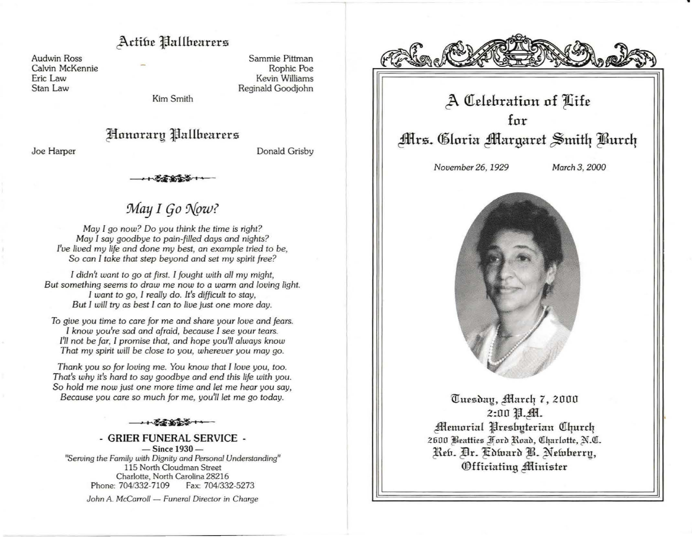### Active Pallbearers

**Audwin Ross** Calvin McKennie Eric Law Stan Law

Sammie Pittman Rophic Poe **Kevin Williams** Reginald Goodjohn

Kim Smith

## Honorary Pallbearers

Donald Grisby

Joe Harper

# May I Go Now?

May I go now? Do you think the time is right? May I say goodbye to pain-filled days and nights? I've lived my life and done my best, an example tried to be. So can I take that step beyond and set my spirit free?

I didn't want to go at first. I fought with all my might, But something seems to draw me now to a warm and loving light. I want to go, I really do. It's difficult to stay, But I will try as best I can to live just one more day.

To give you time to care for me and share your love and fears. I know you're sad and afraid, because I see your tears. I'll not be far. I promise that, and hope you'll always know That my spirit will be close to you, wherever you may go.

Thank you so for loving me. You know that I love you, too. That's why it's hard to say goodbye and end this life with you. So hold me now just one more time and let me hear you say, Because you care so much for me, you'll let me go today.

 $+33333 + 1$ 

- GRIER FUNERAL SERVICE - $-$  Since  $1930-$ "Serving the Family with Dignity and Personal Understanding" 115 North Cloudman Street Charlotte, North Carolina 28216 Phone: 704/332-7109 Fax: 704/332-5273

John A. McCarroll - Funeral Director in Charge



# A Celebration of Life

for **Allrs. Cloria Margaret Smith Burch** 

November 26, 1929

March 3, 2000



Tuesday, March 7, 2000 2:00 狙... **Memorial Presbyterian Church** 2600 Beatties Ford Road, Charlotte, N.C. Reb. Dr. Cdward B. Newberry, Officiating Minister